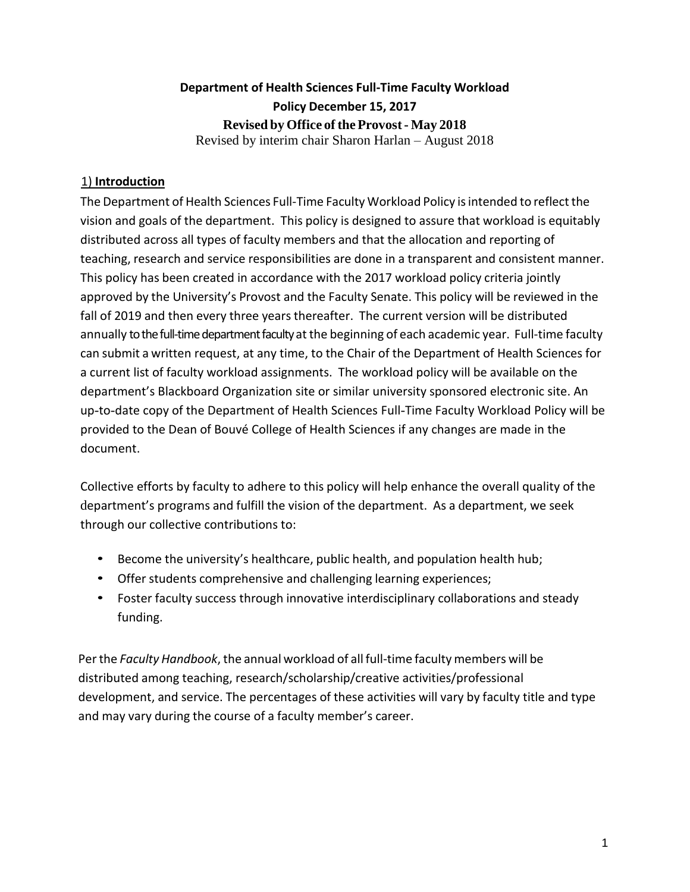## **Department of Health Sciences Full-Time Faculty Workload Policy December 15, 2017 Revised by Office of the Provost- May 2018** Revised by interim chair Sharon Harlan – August 2018

## 1) **Introduction**

The Department of Health Sciences Full-Time Faculty Workload Policy is intended to reflect the vision and goals of the department. This policy is designed to assure that workload is equitably distributed across all types of faculty members and that the allocation and reporting of teaching, research and service responsibilities are done in a transparent and consistent manner. This policy has been created in accordance with the 2017 workload policy criteria jointly approved by the University's Provost and the Faculty Senate. This policy will be reviewed in the fall of 2019 and then every three years thereafter. The current version will be distributed annually to the full-time department faculty at the beginning of each academic year. Full-time faculty can submit a written request, at any time, to the Chair of the Department of Health Sciences for a current list of faculty workload assignments. The workload policy will be available on the department's Blackboard Organization site or similar university sponsored electronic site. An up-to-date copy of the Department of Health Sciences Full-Time Faculty Workload Policy will be provided to the Dean of Bouvé College of Health Sciences if any changes are made in the document.

Collective efforts by faculty to adhere to this policy will help enhance the overall quality of the department's programs and fulfill the vision of the department. As a department, we seek through our collective contributions to:

- Become the university's healthcare, public health, and population health hub;
- Offer students comprehensive and challenging learning experiences;
- Foster faculty success through innovative interdisciplinary collaborations and steady funding.

Per the *Faculty Handbook*, the annual workload of all full-time faculty members will be distributed among teaching, research/scholarship/creative activities/professional development, and service. The percentages of these activities will vary by faculty title and type and may vary during the course of a faculty member's career.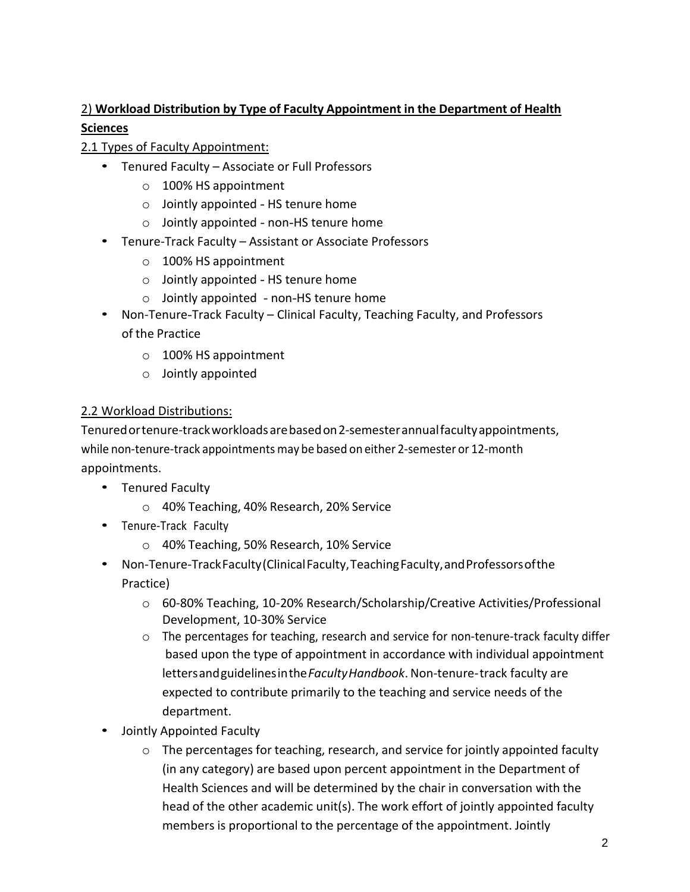## 2) **Workload Distribution by Type of Faculty Appointment in the Department of Health Sciences**

## 2.1 Types of Faculty Appointment:

- Tenured Faculty Associate or Full Professors
	- o 100% HS appointment
	- o Jointly appointed HS tenure home
	- o Jointly appointed non-HS tenure home
- Tenure-Track Faculty Assistant or Associate Professors
	- o 100% HS appointment
	- o Jointly appointed HS tenure home
	- $\circ$  Jointly appointed non-HS tenure home
- Non-Tenure-Track Faculty Clinical Faculty, Teaching Faculty, and Professors of the Practice
	- o 100% HS appointment
	- o Jointly appointed

## 2.2 Workload Distributions:

Tenuredortenure-trackworkloadsarebasedon2-semesterannualfacultyappointments, while non-tenure-track appointments may be based on either 2-semester or 12-month appointments.

- Tenured Faculty
	- o 40% Teaching, 40% Research, 20% Service
- Tenure-Track Faculty
	- o 40% Teaching, 50% Research, 10% Service
- Non-Tenure-Track Faculty (Clinical Faculty, Teaching Faculty, and Professors of the Practice)
	- o 60-80% Teaching, 10-20% Research/Scholarship/Creative Activities/Professional Development, 10-30% Service
	- $\circ$  The percentages for teaching, research and service for non-tenure-track faculty differ based upon the type of appointment in accordance with individual appointment lettersandguidelinesinthe*FacultyHandbook*.Non-tenure-track faculty are expected to contribute primarily to the teaching and service needs of the department.
- Jointly Appointed Faculty
	- $\circ$  The percentages for teaching, research, and service for jointly appointed faculty (in any category) are based upon percent appointment in the Department of Health Sciences and will be determined by the chair in conversation with the head of the other academic unit(s). The work effort of jointly appointed faculty members is proportional to the percentage of the appointment. Jointly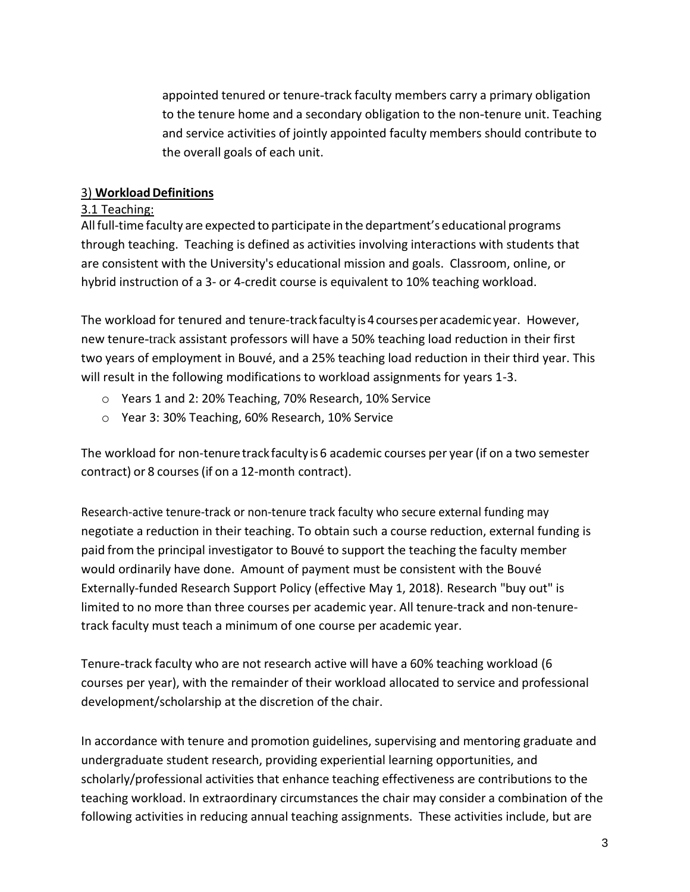appointed tenured or tenure-track faculty members carry a primary obligation to the tenure home and a secondary obligation to the non-tenure unit. Teaching and service activities of jointly appointed faculty members should contribute to the overall goals of each unit.

#### 3) **WorkloadDefinitions**

#### 3.1 Teaching:

Allfull-time faculty are expected to participate in the department's educational programs through teaching. Teaching is defined as activities involving interactions with students that are consistent with the University's educational mission and goals. Classroom, online, or hybrid instruction of a 3- or 4-credit course is equivalent to 10% teaching workload.

The workload for tenured and tenure-track faculty is 4 courses per academic year. However, new tenure-track assistant professors will have a 50% teaching load reduction in their first two years of employment in Bouvé, and a 25% teaching load reduction in their third year. This will result in the following modifications to workload assignments for years 1-3.

- o Years 1 and 2: 20% Teaching, 70% Research, 10% Service
- o Year 3: 30% Teaching, 60% Research, 10% Service

The workload for non-tenuretrackfaculty is6 academic courses per year(if on a two semester contract) or 8 courses(if on a 12-month contract).

Research-active tenure-track or non-tenure track faculty who secure external funding may negotiate a reduction in their teaching. To obtain such a course reduction, external funding is paid from the principal investigator to Bouvé to support the teaching the faculty member would ordinarily have done. Amount of payment must be consistent with the Bouvé Externally-funded Research Support Policy (effective May 1, 2018). Research "buy out" is limited to no more than three courses per academic year. All tenure-track and non-tenuretrack faculty must teach a minimum of one course per academic year.

Tenure-track faculty who are not research active will have a 60% teaching workload (6 courses per year), with the remainder of their workload allocated to service and professional development/scholarship at the discretion of the chair.

In accordance with tenure and promotion guidelines, supervising and mentoring graduate and undergraduate student research, providing experiential learning opportunities, and scholarly/professional activities that enhance teaching effectiveness are contributions to the teaching workload. In extraordinary circumstances the chair may consider a combination of the following activities in reducing annual teaching assignments. These activities include, but are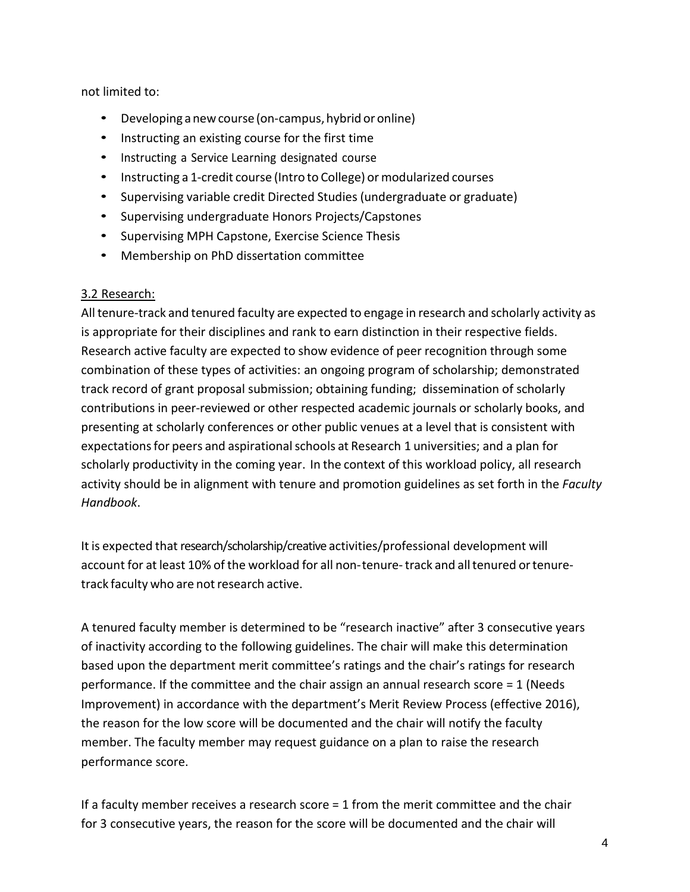not limited to:

- Developing a new course (on-campus, hybrid or online)
- Instructing an existing course for the first time
- Instructing a Service Learning designated course
- Instructing a 1-credit course (Intro to College) or modularized courses
- Supervising variable credit Directed Studies (undergraduate or graduate)
- Supervising undergraduate Honors Projects/Capstones
- Supervising MPH Capstone, Exercise Science Thesis
- Membership on PhD dissertation committee

## 3.2 Research:

All tenure-track and tenured faculty are expected to engage in research and scholarly activity as is appropriate for their disciplines and rank to earn distinction in their respective fields. Research active faculty are expected to show evidence of peer recognition through some combination of these types of activities: an ongoing program of scholarship; demonstrated track record of grant proposal submission; obtaining funding; dissemination of scholarly contributions in peer-reviewed or other respected academic journals or scholarly books, and presenting at scholarly conferences or other public venues at a level that is consistent with expectations for peers and aspirational schools at Research 1 universities; and a plan for scholarly productivity in the coming year. In the context of this workload policy, all research activity should be in alignment with tenure and promotion guidelines as set forth in the *Faculty Handbook*.

It is expected that research/scholarship/creative activities/professional development will account for at least 10% of the workload for all non-tenure-track and alltenured ortenuretrack faculty who are not research active.

A tenured faculty member is determined to be "research inactive" after 3 consecutive years of inactivity according to the following guidelines. The chair will make this determination based upon the department merit committee's ratings and the chair's ratings for research performance. If the committee and the chair assign an annual research score = 1 (Needs Improvement) in accordance with the department's Merit Review Process (effective 2016), the reason for the low score will be documented and the chair will notify the faculty member. The faculty member may request guidance on a plan to raise the research performance score.

If a faculty member receives a research score = 1 from the merit committee and the chair for 3 consecutive years, the reason for the score will be documented and the chair will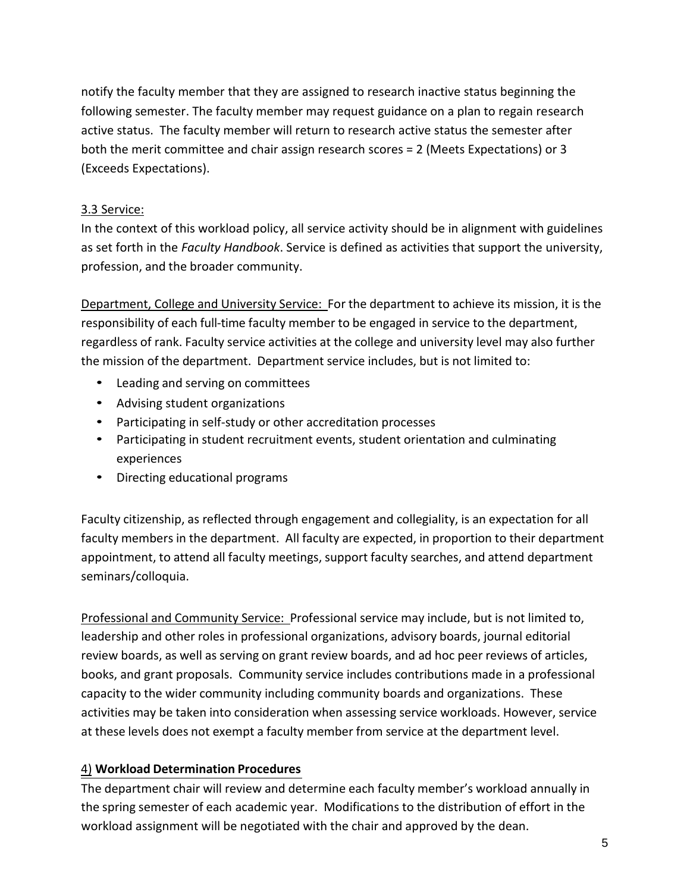notify the faculty member that they are assigned to research inactive status beginning the following semester. The faculty member may request guidance on a plan to regain research active status. The faculty member will return to research active status the semester after both the merit committee and chair assign research scores = 2 (Meets Expectations) or 3 (Exceeds Expectations).

### 3.3 Service:

In the context of this workload policy, all service activity should be in alignment with guidelines as set forth in the *Faculty Handbook*. Service is defined as activities that support the university, profession, and the broader community.

Department, College and University Service: For the department to achieve its mission, it is the responsibility of each full-time faculty member to be engaged in service to the department, regardless of rank. Faculty service activities at the college and university level may also further the mission of the department. Department service includes, but is not limited to:

- Leading and serving on committees
- Advising student organizations
- Participating in self-study or other accreditation processes
- Participating in student recruitment events, student orientation and culminating experiences
- Directing educational programs

Faculty citizenship, as reflected through engagement and collegiality, is an expectation for all faculty members in the department. All faculty are expected, in proportion to their department appointment, to attend all faculty meetings, support faculty searches, and attend department seminars/colloquia.

Professional and Community Service: Professional service may include, but is not limited to, leadership and other roles in professional organizations, advisory boards, journal editorial review boards, as well as serving on grant review boards, and ad hoc peer reviews of articles, books, and grant proposals. Community service includes contributions made in a professional capacity to the wider community including community boards and organizations. These activities may be taken into consideration when assessing service workloads. However, service at these levels does not exempt a faculty member from service at the department level.

#### 4) **Workload Determination Procedures**

The department chair will review and determine each faculty member's workload annually in the spring semester of each academic year. Modifications to the distribution of effort in the workload assignment will be negotiated with the chair and approved by the dean.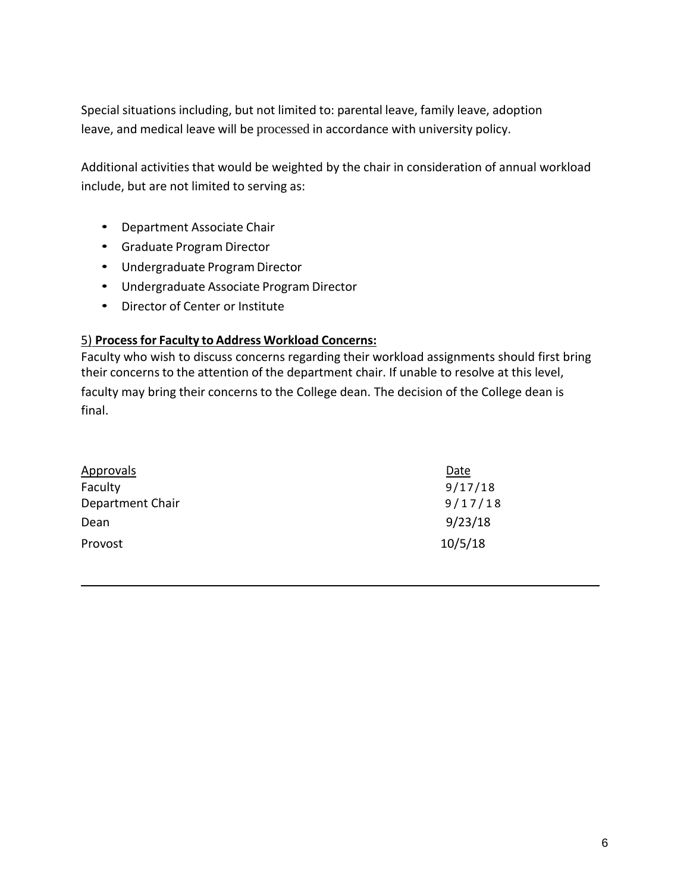Special situations including, but not limited to: parental leave, family leave, adoption leave, and medical leave will be processed in accordance with university policy.

Additional activities that would be weighted by the chair in consideration of annual workload include, but are not limited to serving as:

- Department Associate Chair
- Graduate Program Director
- Undergraduate Program Director
- Undergraduate Associate Program Director
- Director of Center or Institute

#### 5) **Processfor Faculty to Address Workload Concerns:**

Faculty who wish to discuss concerns regarding their workload assignments should first bring their concerns to the attention of the department chair. If unable to resolve at this level, faculty may bring their concerns to the College dean. The decision of the College dean is final.

| <b>Approvals</b> | Date    |
|------------------|---------|
| Faculty          | 9/17/18 |
| Department Chair | 9/17/18 |
| Dean             | 9/23/18 |
| Provost          | 10/5/18 |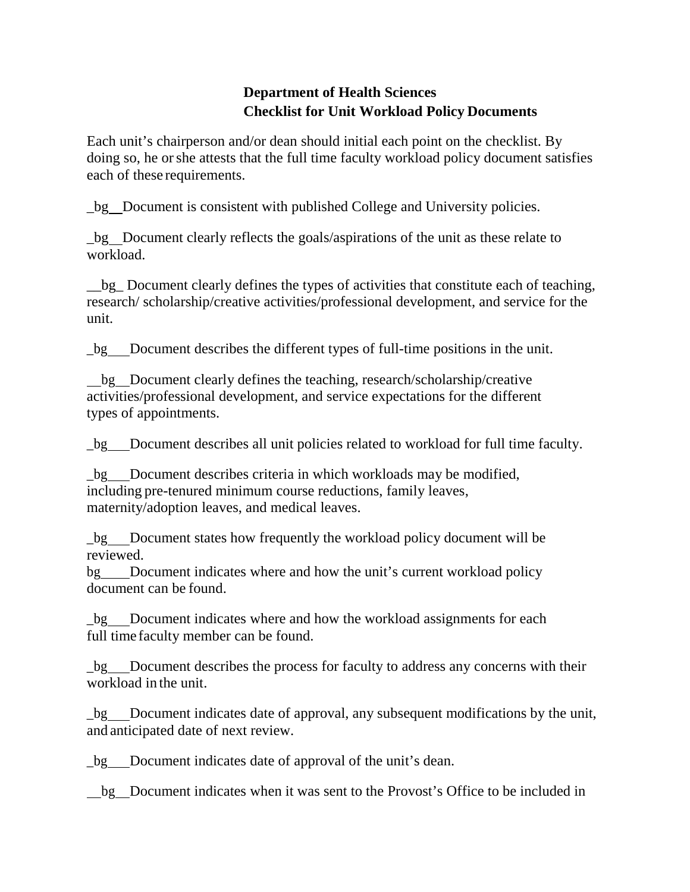# **Department of Health Sciences Checklist for Unit Workload Policy Documents**

Each unit's chairperson and/or dean should initial each point on the checklist. By doing so, he or she attests that the full time faculty workload policy document satisfies each of these requirements.

\_bg Document is consistent with published College and University policies.

\_bg Document clearly reflects the goals/aspirations of the unit as these relate to workload.

bg Document clearly defines the types of activities that constitute each of teaching, research/ scholarship/creative activities/professional development, and service for the unit.

\_bg Document describes the different types of full-time positions in the unit.

bg Document clearly defines the teaching, research/scholarship/creative activities/professional development, and service expectations for the different types of appointments.

\_bg Document describes all unit policies related to workload for full time faculty.

\_bg Document describes criteria in which workloads may be modified, including pre-tenured minimum course reductions, family leaves, maternity/adoption leaves, and medical leaves.

\_bg Document states how frequently the workload policy document will be reviewed.

bg Document indicates where and how the unit's current workload policy document can be found.

\_bg Document indicates where and how the workload assignments for each full time faculty member can be found.

\_bg Document describes the process for faculty to address any concerns with their workload in the unit.

bg Document indicates date of approval, any subsequent modifications by the unit, and anticipated date of next review.

\_bg Document indicates date of approval of the unit's dean.

bg Document indicates when it was sent to the Provost's Office to be included in